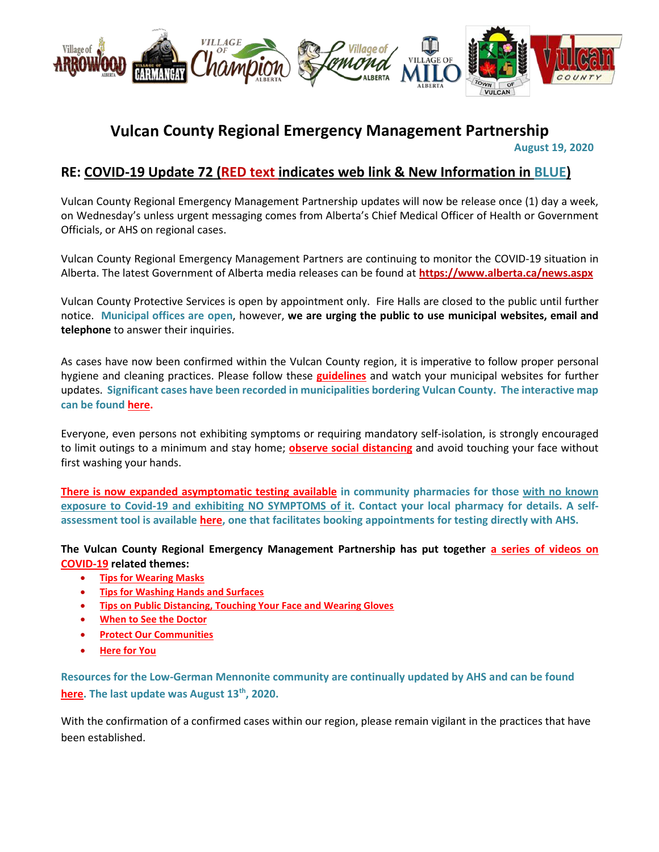

## **Vulcan County Regional Emergency Management Partnership**

 **August 19, 2020**

### **RE: COVID-19 Update 72 (RED text indicates web link & New Information in BLUE)**

Vulcan County Regional Emergency Management Partnership updates will now be release once (1) day a week, on Wednesday's unless urgent messaging comes from Alberta's Chief Medical Officer of Health or Government Officials, or AHS on regional cases.

Vulcan County Regional Emergency Management Partners are continuing to monitor the COVID-19 situation in Alberta. The latest Government of Alberta media releases can be found at **<https://www.alberta.ca/news.aspx>**

Vulcan County Protective Services is open by appointment only. Fire Halls are closed to the public until further notice. **Municipal offices are open**, however, **we are urging the public to use municipal websites, email and telephone** to answer their inquiries.

As cases have now been confirmed within the Vulcan County region, it is imperative to follow proper personal hygiene and cleaning practices. Please follow these **[guidelines](https://www.albertahealthservices.ca/topics/Page16997.aspx#sign)** and watch your municipal websites for further updates. **Significant cases have been recorded in municipalities bordering Vulcan County. The interactive map can be foun[d here.](https://www.alberta.ca/stats/covid-19-alberta-statistics.htm)**

Everyone, even persons not exhibiting symptoms or requiring mandatory self-isolation, is strongly encouraged to limit outings to a minimum and stay home; **[observe social distancing](https://www.albertahealthservices.ca/topics/Page17008.aspx)** and avoid touching your face without first washing your hands.

**[There is now expanded asymptomatic testing](https://www.alberta.ca/covid-19-testing-in-alberta.aspx) available in community pharmacies for those with no known exposure to Covid-19 and exhibiting NO SYMPTOMS of it. Contact your local pharmacy for details. A selfassessment tool is available [here,](https://myhealth.alberta.ca/Journey/COVID-19/Pages/COVID-Self-Assessment.aspx) one that facilitates booking appointments for testing directly with AHS.**

**The Vulcan County Regional Emergency Management Partnership has put together [a series of videos on](https://villageoflomond.ca/allremavideos/)  [COVID-19](https://villageoflomond.ca/allremavideos/) related themes:**

- **[Tips for Wearing Masks](https://youtu.be/mS2rSlOT2n0)**
- **[Tips for Washing Hands and Surfaces](https://youtu.be/pWpGo3uQe-4)**
- **[Tips on Public Distancing, Touching Your Face and Wearing Gloves](https://youtu.be/84qhhl06TII)**
- **[When to See the Doctor](https://youtu.be/raDnetqvEXk)**
- **[Protect Our Communities](https://www.youtube.com/watch?v=swS6GGn_iYg&feature=youtu.be)**
- **[Here for You](https://www.youtube.com/watch?v=QhxWFY7HuM4&feature=youtu.be)**

**Resources for the Low-German Mennonite community are continually updated by AHS and can be found [here.](https://sites.google.com/view/lgmcovidresources/home) The last update was August 13th, 2020.**

With the confirmation of a confirmed cases within our region, please remain vigilant in the practices that have been established.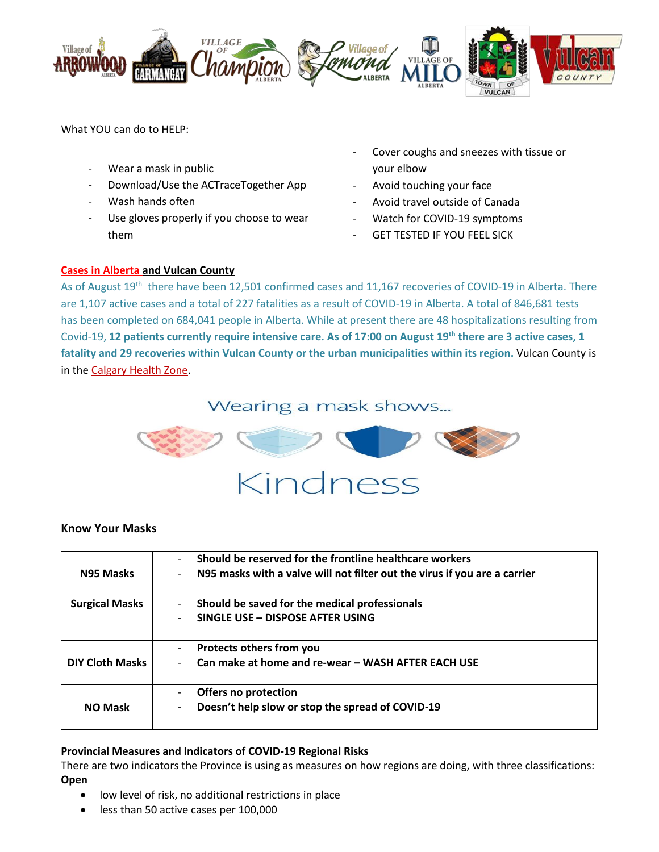

#### What YOU can do to HELP:

- Wear a mask in public
- Download/Use the ACTraceTogether App
- Wash hands often
- Use gloves properly if you choose to wear them
- Cover coughs and sneezes with tissue or your elbow
- Avoid touching your face
- Avoid travel outside of Canada
- Watch for COVID-19 symptoms
- **GET TESTED IF YOU FEEL SICK**

#### **[Cases in Alberta](https://covid19stats.alberta.ca/) and Vulcan County**

As of August 19<sup>th</sup> there have been 12,501 confirmed cases and 11,167 recoveries of COVID-19 in Alberta. There are 1,107 active cases and a total of 227 fatalities as a result of COVID-19 in Alberta. A total of 846,681 tests has been completed on 684,041 people in Alberta. While at present there are 48 hospitalizations resulting from Covid-19, **12 patients currently require intensive care. As of 17:00 on August 19 th there are 3 active cases, 1 fatality and 29 recoveries within Vulcan County or the urban municipalities within its region.** Vulcan County is in the [Calgary Health Zone.](https://www.albertahealthservices.ca/ahs-map-ahs-zones.pdf)

## Wearing a mask shows...



#### **Know Your Masks**

| N95 Masks              | Should be reserved for the frontline healthcare workers<br>$\overline{\phantom{0}}$<br>N95 masks with a valve will not filter out the virus if you are a carrier<br>$\qquad \qquad \blacksquare$ |
|------------------------|--------------------------------------------------------------------------------------------------------------------------------------------------------------------------------------------------|
| <b>Surgical Masks</b>  | Should be saved for the medical professionals<br>$\qquad \qquad \blacksquare$<br>SINGLE USE - DISPOSE AFTER USING<br>$\overline{\phantom{0}}$                                                    |
| <b>DIY Cloth Masks</b> | Protects others from you<br>-<br>Can make at home and re-wear - WASH AFTER EACH USE<br>$\qquad \qquad \blacksquare$                                                                              |
| <b>NO Mask</b>         | <b>Offers no protection</b><br>Doesn't help slow or stop the spread of COVID-19<br>-                                                                                                             |

#### **Provincial Measures and Indicators of COVID-19 Regional Risks**

There are two indicators the Province is using as measures on how regions are doing, with three classifications: **Open**

- low level of risk, no additional restrictions in place
- less than 50 active cases per 100,000